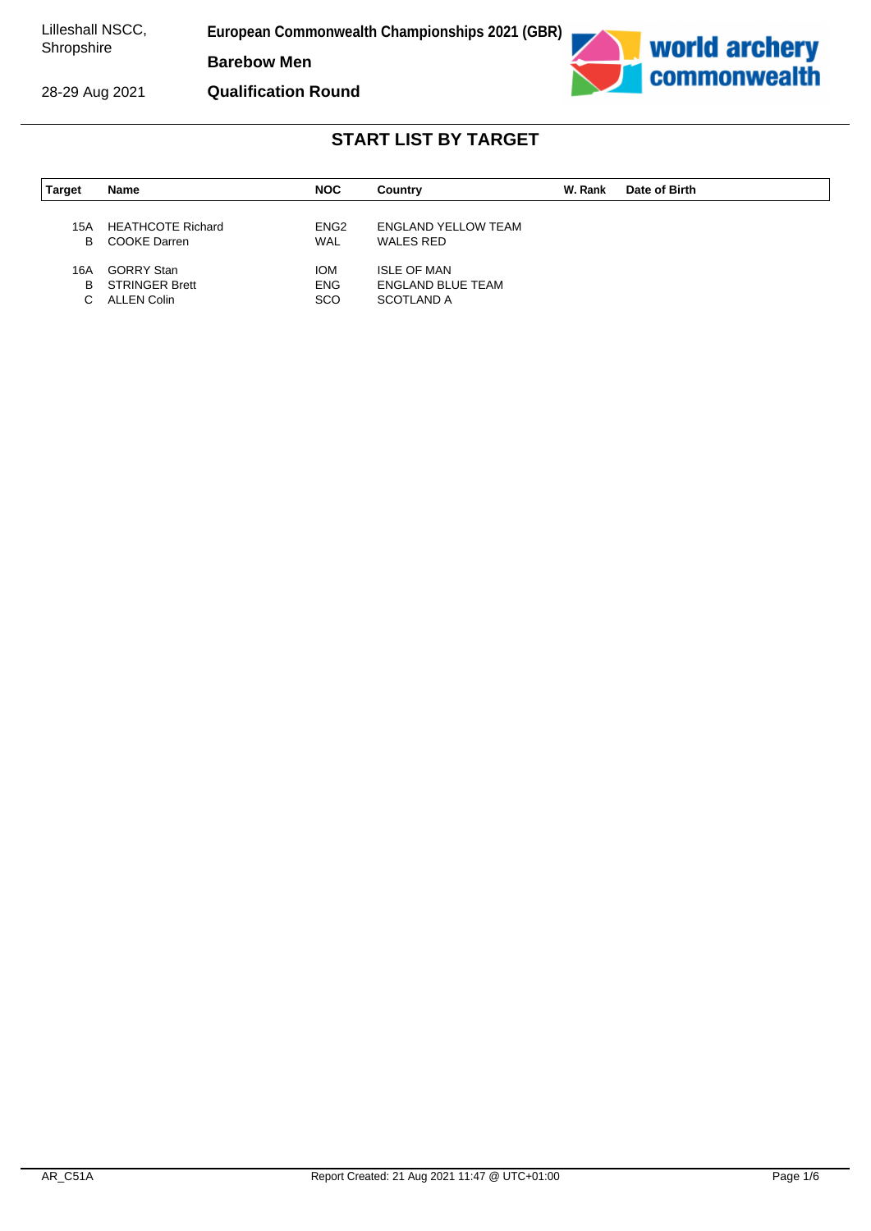28-29 Aug 2021

**European Commonwealth Championships 2021 (GBR)**

**Barebow Men**

**Qualification Round**



| <b>Target</b> | Name                                            | <b>NOC</b>                     | Country                    | W. Rank | Date of Birth |
|---------------|-------------------------------------------------|--------------------------------|----------------------------|---------|---------------|
|               |                                                 |                                | <b>ENGLAND YELLOW TEAM</b> |         |               |
| 15A<br>B      | <b>HEATHCOTE Richard</b><br><b>COOKE Darren</b> | ENG <sub>2</sub><br><b>WAL</b> | WALES RED                  |         |               |
|               |                                                 |                                |                            |         |               |
| 16A           | <b>GORRY Stan</b>                               | <b>IOM</b>                     | <b>ISLE OF MAN</b>         |         |               |
| B             | <b>STRINGER Brett</b>                           | <b>ENG</b>                     | ENGLAND BLUE TEAM          |         |               |
| C.            | ALLEN Colin                                     | <b>SCO</b>                     | SCOTLAND A                 |         |               |
|               |                                                 |                                |                            |         |               |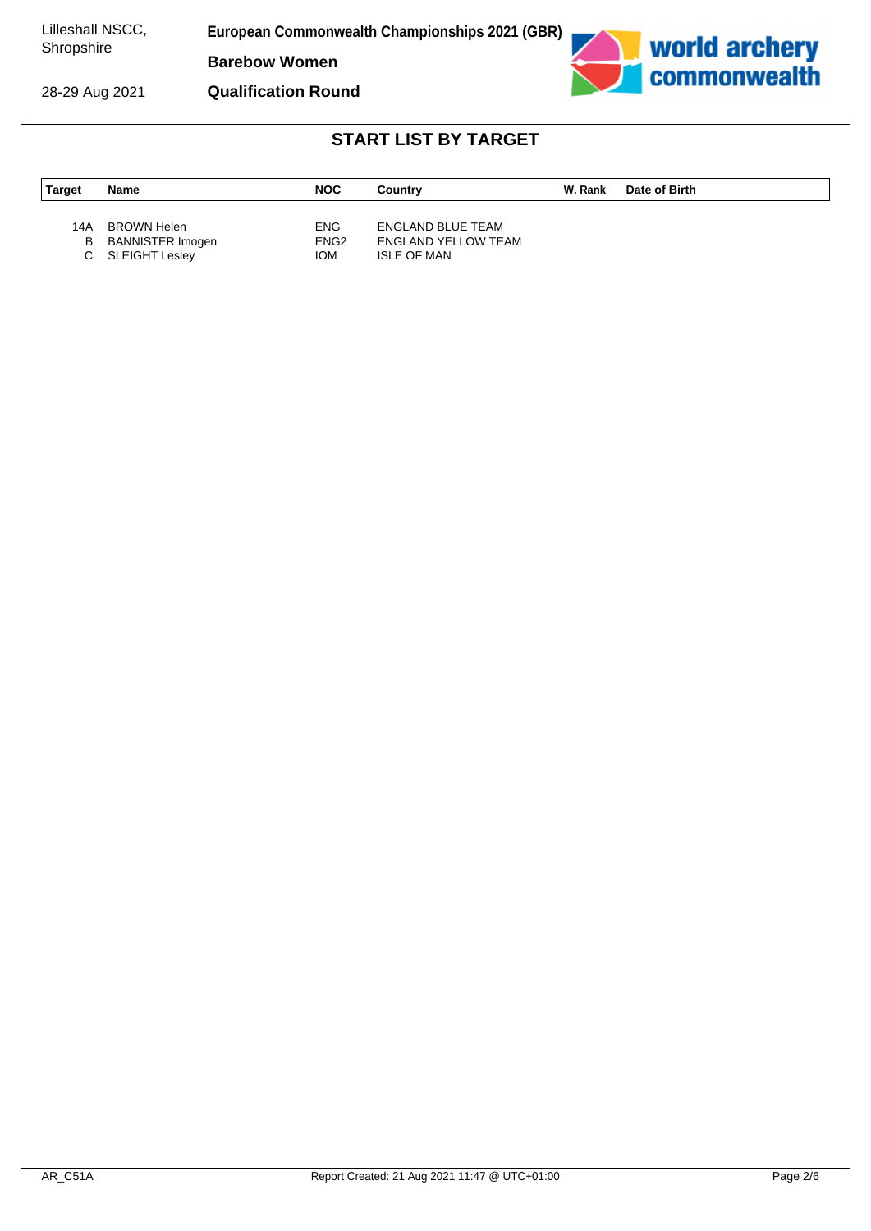28-29 Aug 2021

**European Commonwealth Championships 2021 (GBR)**

**Barebow Women**





| Target   | Name                                                       | <b>NOC</b>                      | Country                                                               | W. Rank | Date of Birth |
|----------|------------------------------------------------------------|---------------------------------|-----------------------------------------------------------------------|---------|---------------|
| 14A<br>В | BROWN Helen<br><b>BANNISTER Imogen</b><br>C SLEIGHT Lesley | ENG.<br>ENG <sub>2</sub><br>IOM | ENGLAND BLUE TEAM<br><b>ENGLAND YELLOW TEAM</b><br><b>ISLE OF MAN</b> |         |               |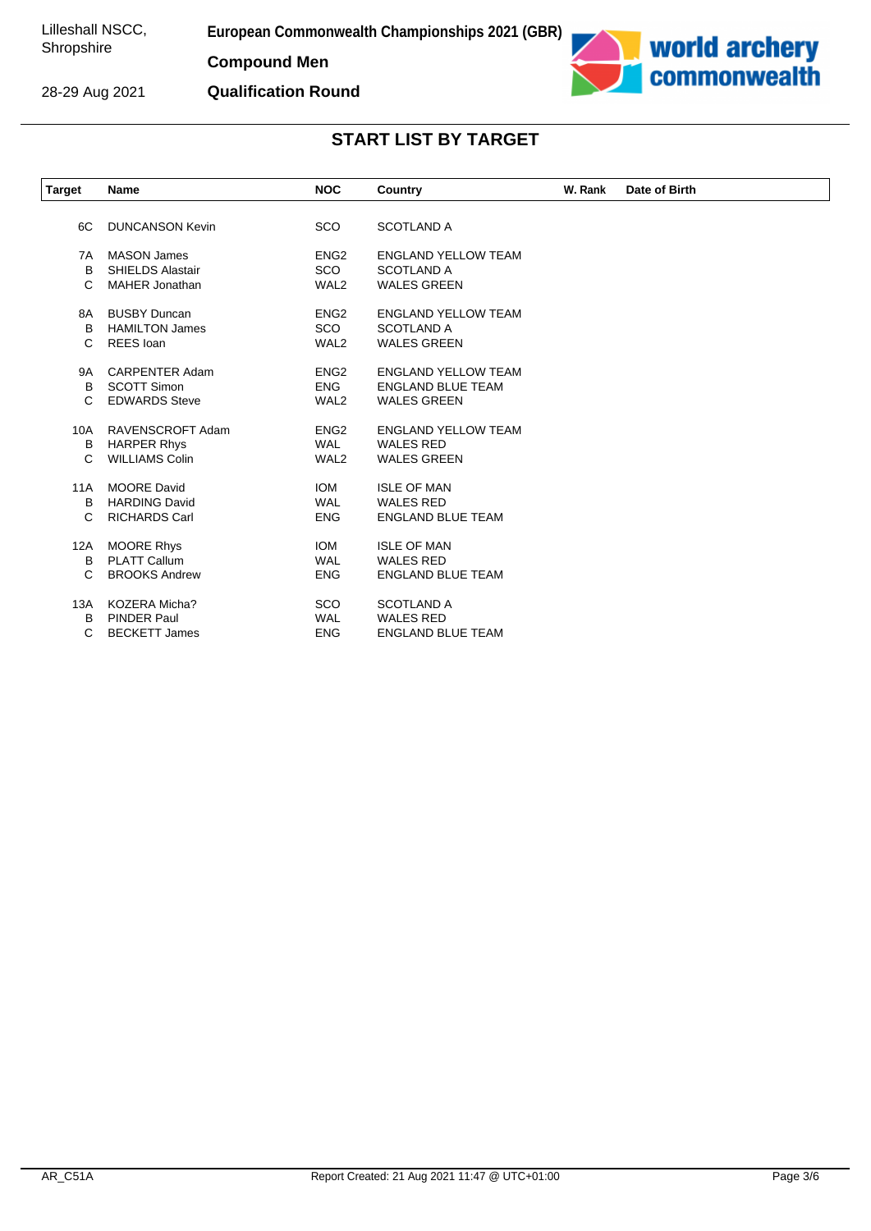**European Commonwealth Championships 2021 (GBR)**

**Compound Men**



**Qualification Round**



| <b>Target</b> | Name                    | <b>NOC</b>       | Country                    | W. Rank | Date of Birth |
|---------------|-------------------------|------------------|----------------------------|---------|---------------|
|               |                         |                  |                            |         |               |
| 6C            | <b>DUNCANSON Kevin</b>  | SCO              | <b>SCOTLAND A</b>          |         |               |
| 7A            | <b>MASON James</b>      | ENG <sub>2</sub> | <b>ENGLAND YELLOW TEAM</b> |         |               |
| B             | <b>SHIELDS Alastair</b> | <b>SCO</b>       | <b>SCOTLAND A</b>          |         |               |
| C             | <b>MAHER Jonathan</b>   | WAL <sub>2</sub> | <b>WALES GREEN</b>         |         |               |
| 8A            | <b>BUSBY Duncan</b>     | ENG <sub>2</sub> | <b>ENGLAND YELLOW TEAM</b> |         |               |
| B             | <b>HAMILTON James</b>   | <b>SCO</b>       | <b>SCOTLAND A</b>          |         |               |
| C             | REES loan               | WAL <sub>2</sub> | <b>WALES GREEN</b>         |         |               |
|               |                         |                  |                            |         |               |
| 9A            | <b>CARPENTER Adam</b>   | ENG <sub>2</sub> | <b>ENGLAND YELLOW TEAM</b> |         |               |
| B             | <b>SCOTT Simon</b>      | <b>ENG</b>       | <b>ENGLAND BLUE TEAM</b>   |         |               |
| C             | <b>EDWARDS Steve</b>    | WAL <sub>2</sub> | <b>WALES GREEN</b>         |         |               |
| 10A           | RAVENSCROFT Adam        | ENG <sub>2</sub> | <b>ENGLAND YELLOW TEAM</b> |         |               |
| B             | <b>HARPER Rhys</b>      | <b>WAL</b>       | <b>WALES RED</b>           |         |               |
| $\mathsf{C}$  | <b>WILLIAMS Colin</b>   | WAL <sub>2</sub> | <b>WALES GREEN</b>         |         |               |
| <b>11A</b>    | <b>MOORE David</b>      | <b>IOM</b>       | <b>ISLE OF MAN</b>         |         |               |
| B             | <b>HARDING David</b>    | <b>WAL</b>       | <b>WALES RED</b>           |         |               |
| C             | <b>RICHARDS Carl</b>    | <b>ENG</b>       | <b>ENGLAND BLUE TEAM</b>   |         |               |
| 12A           | <b>MOORE Rhys</b>       | <b>IOM</b>       | <b>ISLE OF MAN</b>         |         |               |
| B             | <b>PLATT Callum</b>     | <b>WAL</b>       | <b>WALES RED</b>           |         |               |
| C             | <b>BROOKS Andrew</b>    | <b>ENG</b>       | <b>ENGLAND BLUE TEAM</b>   |         |               |
|               |                         |                  |                            |         |               |
| 13A           | <b>KOZERA Micha?</b>    | SCO              | <b>SCOTLAND A</b>          |         |               |
| B             | <b>PINDER Paul</b>      | <b>WAL</b>       | <b>WALES RED</b>           |         |               |
| C             | <b>BECKETT James</b>    | <b>ENG</b>       | <b>ENGLAND BLUE TEAM</b>   |         |               |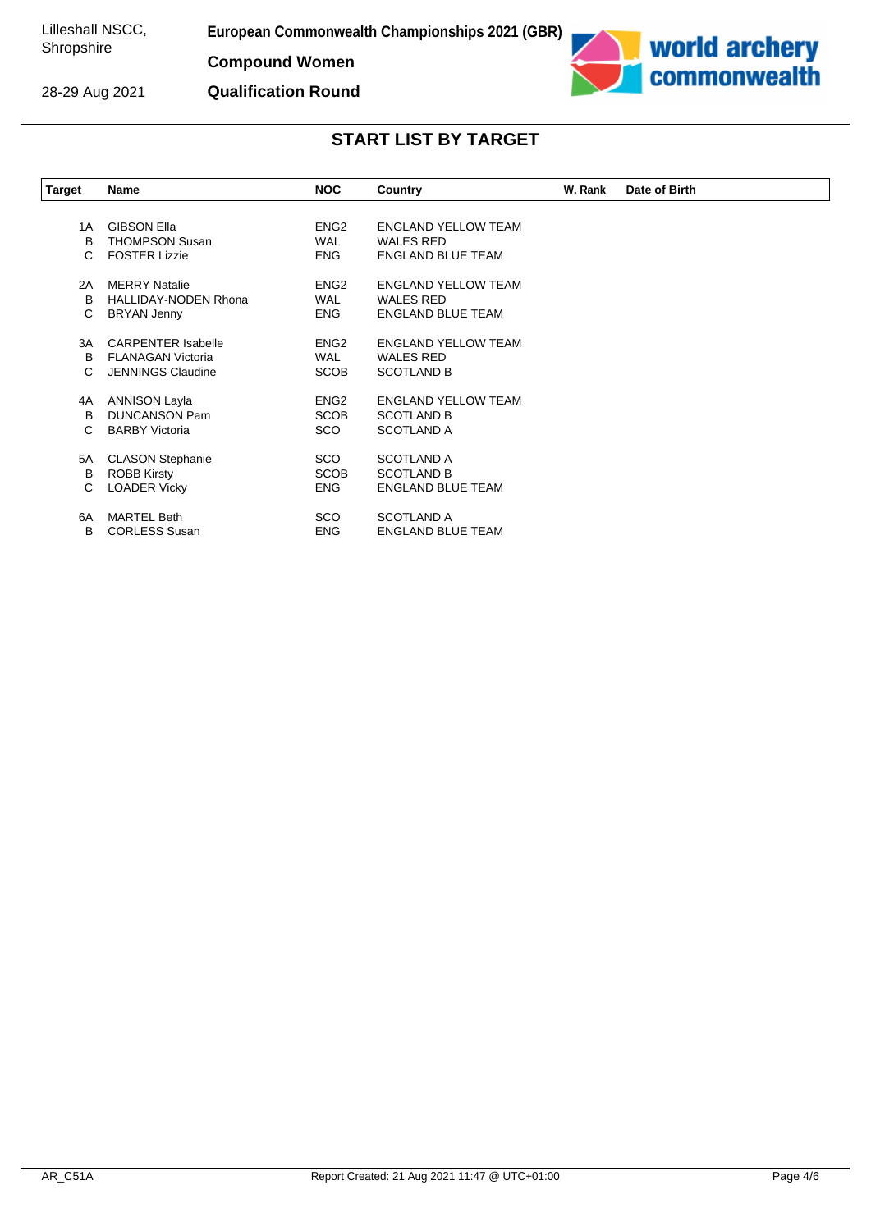**European Commonwealth Championships 2021 (GBR)**

**Compound Women**

28-29 Aug 2021

**Qualification Round**



| <b>Target</b> | Name                        | <b>NOC</b>       | Country                    | W. Rank | Date of Birth |  |
|---------------|-----------------------------|------------------|----------------------------|---------|---------------|--|
|               |                             |                  |                            |         |               |  |
| 1A            | <b>GIBSON Ella</b>          | ENG <sub>2</sub> | <b>ENGLAND YELLOW TEAM</b> |         |               |  |
| B             | <b>THOMPSON Susan</b>       | <b>WAL</b>       | <b>WALES RED</b>           |         |               |  |
| C             | <b>FOSTER Lizzie</b>        | <b>ENG</b>       | <b>ENGLAND BLUE TEAM</b>   |         |               |  |
| 2A            | <b>MERRY Natalie</b>        | ENG <sub>2</sub> | <b>ENGLAND YELLOW TEAM</b> |         |               |  |
| B             | <b>HALLIDAY-NODEN Rhona</b> | <b>WAL</b>       | <b>WALES RED</b>           |         |               |  |
| С             | <b>BRYAN Jenny</b>          | <b>ENG</b>       | <b>ENGLAND BLUE TEAM</b>   |         |               |  |
| 3A            | <b>CARPENTER Isabelle</b>   | ENG <sub>2</sub> | <b>ENGLAND YELLOW TEAM</b> |         |               |  |
| B             | <b>FLANAGAN Victoria</b>    | <b>WAL</b>       | <b>WALES RED</b>           |         |               |  |
| C             | <b>JENNINGS Claudine</b>    | <b>SCOB</b>      | <b>SCOTLAND B</b>          |         |               |  |
| 4A            | ANNISON Layla               | ENG <sub>2</sub> | <b>ENGLAND YELLOW TEAM</b> |         |               |  |
| B             | <b>DUNCANSON Pam</b>        | <b>SCOB</b>      | <b>SCOTLAND B</b>          |         |               |  |
| C             | <b>BARBY Victoria</b>       | <b>SCO</b>       | <b>SCOTLAND A</b>          |         |               |  |
| 5A            | <b>CLASON Stephanie</b>     | <b>SCO</b>       | <b>SCOTLAND A</b>          |         |               |  |
| B             | <b>ROBB Kirsty</b>          | <b>SCOB</b>      | <b>SCOTLAND B</b>          |         |               |  |
| С             | <b>LOADER Vicky</b>         | ENG.             | <b>ENGLAND BLUE TEAM</b>   |         |               |  |
| 6A            | <b>MARTEL Beth</b>          | SCO.             | <b>SCOTLAND A</b>          |         |               |  |
| В             | <b>CORLESS Susan</b>        | <b>ENG</b>       | <b>ENGLAND BLUE TEAM</b>   |         |               |  |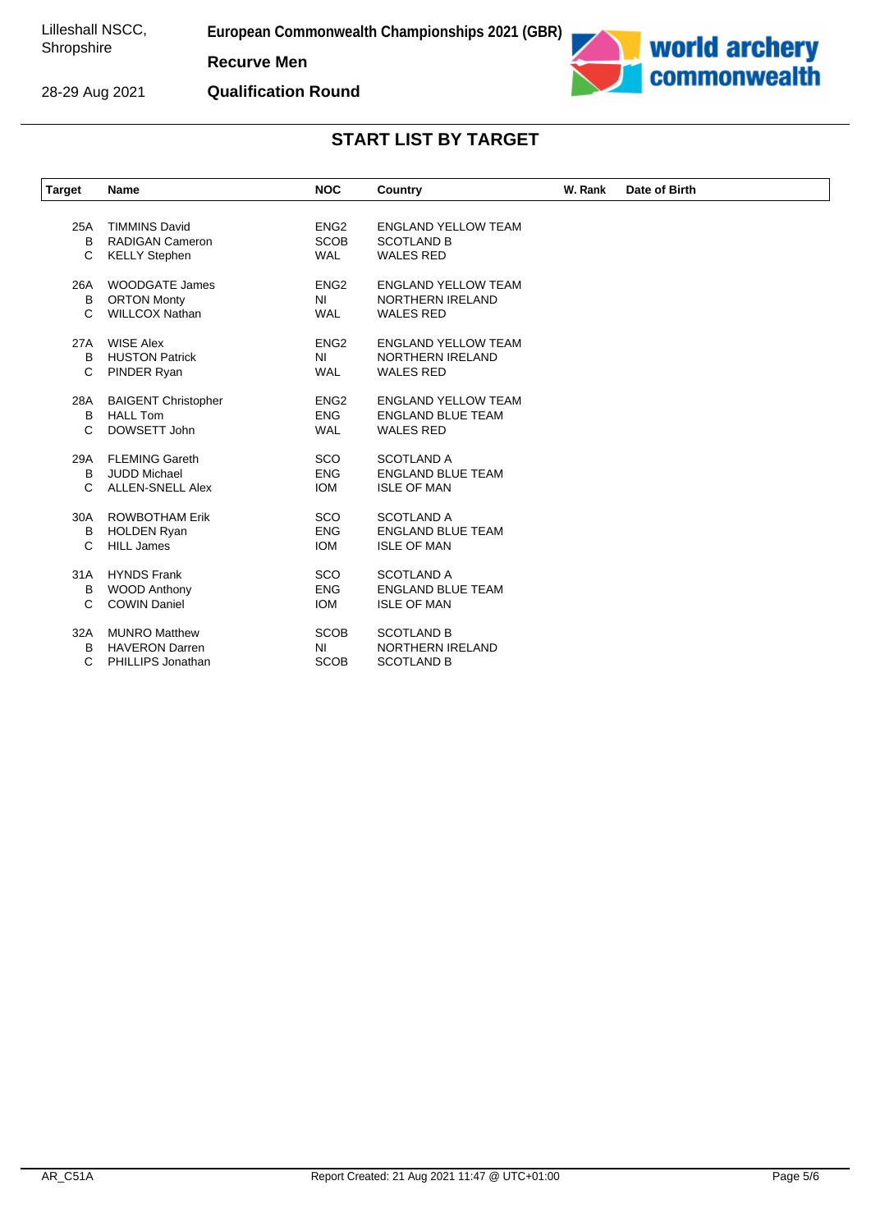28-29 Aug 2021

**European Commonwealth Championships 2021 (GBR)**

**Recurve Men**

**Qualification Round**



| <b>Target</b> | <b>Name</b>                | <b>NOC</b>       | <b>Country</b>             | W. Rank | Date of Birth |
|---------------|----------------------------|------------------|----------------------------|---------|---------------|
|               |                            |                  |                            |         |               |
| 25A           | <b>TIMMINS David</b>       | ENG <sub>2</sub> | <b>ENGLAND YELLOW TEAM</b> |         |               |
| B             | <b>RADIGAN Cameron</b>     | <b>SCOB</b>      | <b>SCOTLAND B</b>          |         |               |
| C             | <b>KELLY Stephen</b>       | <b>WAL</b>       | <b>WALES RED</b>           |         |               |
| 26A           | WOODGATE James             | ENG <sub>2</sub> | <b>ENGLAND YELLOW TEAM</b> |         |               |
| B             | <b>ORTON Monty</b>         | N <sub>l</sub>   | NORTHERN IRELAND           |         |               |
| C             | <b>WILLCOX Nathan</b>      | <b>WAL</b>       | <b>WALES RED</b>           |         |               |
| 27A           | <b>WISE Alex</b>           | ENG <sub>2</sub> | <b>ENGLAND YELLOW TEAM</b> |         |               |
| В             | <b>HUSTON Patrick</b>      | <b>NI</b>        | <b>NORTHERN IRELAND</b>    |         |               |
| C             | PINDER Ryan                | <b>WAL</b>       | <b>WALES RED</b>           |         |               |
| 28A           | <b>BAIGENT Christopher</b> | ENG <sub>2</sub> | <b>ENGLAND YELLOW TEAM</b> |         |               |
| B             | <b>HALL Tom</b>            | <b>ENG</b>       | <b>ENGLAND BLUE TEAM</b>   |         |               |
| C             | DOWSETT John               | <b>WAL</b>       | <b>WALES RED</b>           |         |               |
| 29A           | <b>FLEMING Gareth</b>      | <b>SCO</b>       | <b>SCOTLAND A</b>          |         |               |
| B             | <b>JUDD Michael</b>        | <b>ENG</b>       | <b>ENGLAND BLUE TEAM</b>   |         |               |
| C             | <b>ALLEN-SNELL Alex</b>    | <b>IOM</b>       | <b>ISLE OF MAN</b>         |         |               |
| 30A           | <b>ROWBOTHAM Erik</b>      | <b>SCO</b>       | <b>SCOTLAND A</b>          |         |               |
| В             | <b>HOLDEN Ryan</b>         | <b>ENG</b>       | <b>ENGLAND BLUE TEAM</b>   |         |               |
| C             | <b>HILL James</b>          | <b>IOM</b>       | <b>ISLE OF MAN</b>         |         |               |
| 31A           | <b>HYNDS Frank</b>         | <b>SCO</b>       | <b>SCOTLAND A</b>          |         |               |
| в             | <b>WOOD Anthony</b>        | <b>ENG</b>       | <b>ENGLAND BLUE TEAM</b>   |         |               |
| C             | <b>COWIN Daniel</b>        | <b>IOM</b>       | <b>ISLE OF MAN</b>         |         |               |
| 32A           | <b>MUNRO Matthew</b>       | <b>SCOB</b>      | <b>SCOTLAND B</b>          |         |               |
| В             | <b>HAVERON Darren</b>      | <b>NI</b>        | <b>NORTHERN IRELAND</b>    |         |               |
| C             | PHILLIPS Jonathan          | <b>SCOB</b>      | <b>SCOTLAND B</b>          |         |               |